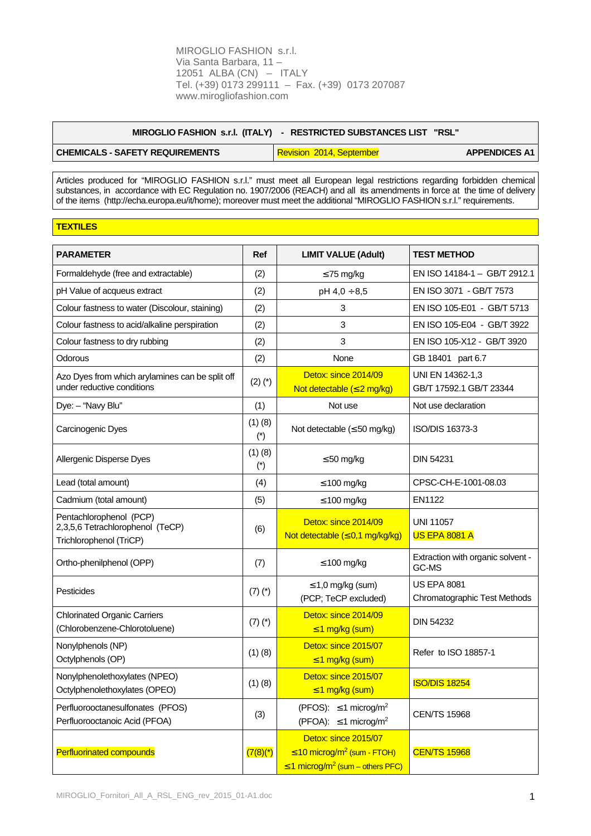|                                        | MIROGLIO FASHION s.r.l. (ITALY) - RESTRICTED SUBSTANCES LIST "RSL" |                      |
|----------------------------------------|--------------------------------------------------------------------|----------------------|
| <b>CHEMICALS - SAFETY REQUIREMENTS</b> | Revision 2014, September                                           | <b>APPENDICES A1</b> |

Articles produced for "MIROGLIO FASHION s.r.l." must meet all European legal restrictions regarding forbidden chemical substances, in accordance with EC Regulation no. 1907/2006 (REACH) and all its amendments in force at the time of delivery of the items (http://echa.europa.eu/it/home); moreover must meet the additional "MIROGLIO FASHION s.r.l." requirements.

## **TEXTILES**

| <b>PARAMETER</b>                                                                       | Ref                  | <b>LIMIT VALUE (Adult)</b>                                                                                                | <b>TEST METHOD</b>                                 |
|----------------------------------------------------------------------------------------|----------------------|---------------------------------------------------------------------------------------------------------------------------|----------------------------------------------------|
| Formaldehyde (free and extractable)                                                    | (2)                  | $\leq$ 75 mg/kg                                                                                                           | EN ISO 14184-1 - GB/T 2912.1                       |
| pH Value of acqueus extract                                                            | (2)                  | $pH 4,0 \div 8,5$                                                                                                         | EN ISO 3071 - GB/T 7573                            |
| Colour fastness to water (Discolour, staining)                                         | (2)                  | 3                                                                                                                         | EN ISO 105-E01 - GB/T 5713                         |
| Colour fastness to acid/alkaline perspiration                                          | (2)                  | 3                                                                                                                         | EN ISO 105-E04 - GB/T 3922                         |
| Colour fastness to dry rubbing                                                         | (2)                  | 3                                                                                                                         | EN ISO 105-X12 - GB/T 3920                         |
| Odorous                                                                                | (2)                  | None                                                                                                                      | GB 18401 part 6.7                                  |
| Azo Dyes from which arylamines can be split off<br>under reductive conditions          | $(2)$ $(*)$          | Detox: since 2014/09<br>Not detectable $(\leq 2$ mg/kg)                                                                   | UNI EN 14362-1,3<br>GB/T 17592.1 GB/T 23344        |
| Dye: - "Navy Blu"                                                                      | (1)                  | Not use                                                                                                                   | Not use declaration                                |
| Carcinogenic Dyes                                                                      | (1)(8)<br>$(*)$      | Not detectable $(\leq 50 \text{ mg/kg})$                                                                                  | ISO/DIS 16373-3                                    |
| Allergenic Disperse Dyes                                                               | $(1)$ $(8)$<br>$(*)$ | $\leq 50$ mg/kg                                                                                                           | <b>DIN 54231</b>                                   |
| Lead (total amount)                                                                    | (4)                  | $\leq 100$ mg/kg                                                                                                          | CPSC-CH-E-1001-08.03                               |
| Cadmium (total amount)                                                                 | (5)                  | $\leq 100$ mg/kg                                                                                                          | <b>EN1122</b>                                      |
| Pentachlorophenol (PCP)<br>2,3,5,6 Tetrachlorophenol (TeCP)<br>Trichlorophenol (TriCP) | (6)                  | Detox: since 2014/09<br>Not detectable $( \leq 0, 1 \text{ mg/kg/kg})$                                                    | <b>UNI 11057</b><br><b>US EPA 8081 A</b>           |
| Ortho-phenilphenol (OPP)                                                               | (7)                  | $\leq 100$ mg/kg                                                                                                          | Extraction with organic solvent -<br>GC-MS         |
| Pesticides                                                                             | $(7)$ $(*)$          | $\leq$ 1,0 mg/kg (sum)<br>(PCP; TeCP excluded)                                                                            | <b>US EPA 8081</b><br>Chromatographic Test Methods |
| <b>Chlorinated Organic Carriers</b><br>(Chlorobenzene-Chlorotoluene)                   | $(7)(*)$             | Detox: since 2014/09<br>$\leq$ 1 mg/kg (sum)                                                                              | <b>DIN 54232</b>                                   |
| Nonylphenols (NP)<br>Octylphenols (OP)                                                 | (1)(8)               | Detox: since 2015/07<br>$\leq$ 1 mg/kg (sum)                                                                              | Refer to ISO 18857-1                               |
| Nonylphenolethoxylates (NPEO)<br>Octylphenolethoxylates (OPEO)                         | $(1)$ $(8)$          | Detox: since 2015/07<br>$\leq$ 1 mg/kg (sum)                                                                              | <b>ISO/DIS 18254</b>                               |
| Perfluorooctanesulfonates (PFOS)<br>Perfluorooctanoic Acid (PFOA)                      | (3)                  | (PFOS): $\leq$ 1 microg/m <sup>2</sup><br>(PFOA): $\leq$ 1 microg/m <sup>2</sup>                                          | <b>CEN/TS 15968</b>                                |
| <b>Perfluorinated compounds</b>                                                        | $(7(8)$ (*)          | Detox: since 2015/07<br>$\leq$ 10 microg/m <sup>2</sup> (sum - FTOH)<br>$\leq$ 1 microg/m <sup>2</sup> (sum – others PFC) | <b>CEN/TS 15968</b>                                |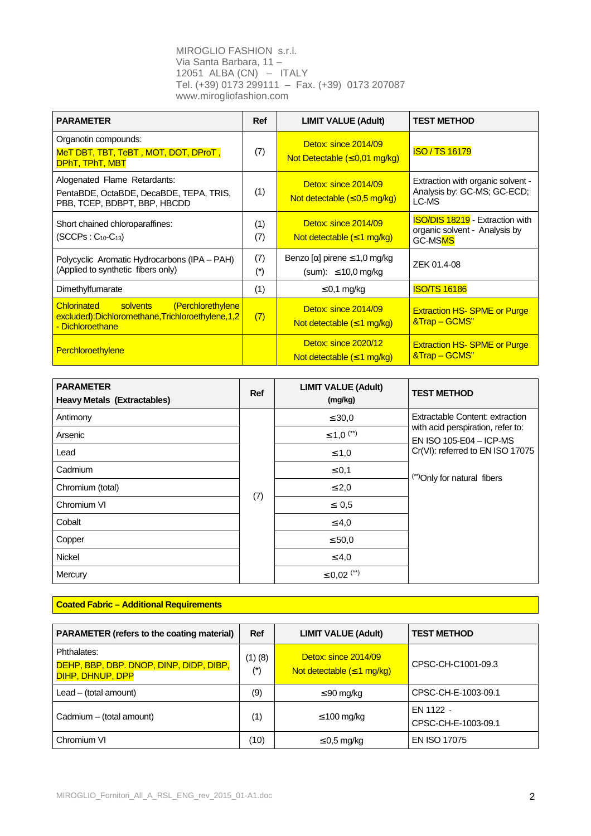| <b>PARAMETER</b>                                                                                                           | <b>Ref</b>   | <b>LIMIT VALUE (Adult)</b>                                           | <b>TEST METHOD</b>                                                                 |
|----------------------------------------------------------------------------------------------------------------------------|--------------|----------------------------------------------------------------------|------------------------------------------------------------------------------------|
| Organotin compounds:<br>MeT DBT, TBT, TeBT, MOT, DOT, DProT,<br>DPhT, TPhT, MBT                                            | (7)          | Detox: since 2014/09<br>Not Detectable $(\leq 0.01$ mg/kg)           | <b>ISO / TS 16179</b>                                                              |
| Alogenated Flame Retardants:<br>PentaBDE, OctaBDE, DecaBDE, TEPA, TRIS,<br>PBB, TCEP, BDBPT, BBP, HBCDD                    | (1)          | Detox: since 2014/09<br>Not detectable $(\leq 0.5 \text{ mg/kg})$    | Extraction with organic solvent -<br>Analysis by: GC-MS; GC-ECD;<br>LC-MS          |
| Short chained chloroparaffines:<br>$(SCCPs: C_{10}$ - $C_{13})$                                                            | (1)<br>(7)   | Detox: since 2014/09<br>Not detectable $(\leq 1 \text{ mg/kg})$      | <b>ISO/DIS 18219</b> - Extraction with<br>organic solvent - Analysis by<br>GC-MSMS |
| Polycyclic Aromatic Hydrocarbons (IPA - PAH)<br>(Applied to synthetic fibers only)                                         | (7)<br>$(*)$ | Benzo $[\alpha]$ pirene $\leq 1.0$ mg/kg<br>(sum): $\leq$ 10,0 mg/kg | ZEK 01.4-08                                                                        |
| Dimethylfumarate                                                                                                           | (1)          | $\leq$ 0,1 mg/kg                                                     | <b>ISO/TS 16186</b>                                                                |
| (Perchlorethylene<br>solvents<br><b>Chlorinated</b><br>excluded):Dichloromethane,Trichloroethylene,1,2<br>- Dichloroethane | (7)          | Detox: since 2014/09<br>Not detectable $(\leq 1 \text{ mg/kg})$      | <b>Extraction HS-SPME or Purge</b><br>&Trap - GCMS"                                |
| Perchloroethylene                                                                                                          |              | Detox: since 2020/12<br>Not detectable $(\leq 1 \text{ mg/kg})$      | <b>Extraction HS-SPME or Purge</b><br>&Trap – GCMS"                                |

| <b>PARAMETER</b><br><b>Heavy Metals (Extractables)</b> | Ref | <b>LIMIT VALUE (Adult)</b><br>(mg/kg) | <b>TEST METHOD</b>                                           |
|--------------------------------------------------------|-----|---------------------------------------|--------------------------------------------------------------|
| Antimony                                               |     | $\leq 30.0$                           | <b>Extractable Content: extraction</b>                       |
| Arsenic                                                |     | $\leq 1.0$ <sup>(**)</sup>            | with acid perspiration, refer to:<br>EN ISO 105-E04 - ICP-MS |
| Lead                                                   |     | $\leq 1,0$                            | Cr(VI): referred to EN ISO 17075                             |
| Cadmium                                                |     | $\leq 0,1$                            | (**) Only for natural fibers                                 |
| Chromium (total)                                       |     | $\leq 2,0$                            |                                                              |
| Chromium VI                                            | (7) | $\leq 0.5$                            |                                                              |
| Cobalt                                                 |     | $\leq 4.0$                            |                                                              |
| Copper                                                 |     | $\leq 50.0$                           |                                                              |
| <b>Nickel</b>                                          |     | $\leq 4.0$                            |                                                              |
| Mercury                                                |     | $\leq$ 0,02 $($ <sup>**</sup> )       |                                                              |

## **Coated Fabric – Additional Requirements**

| <b>PARAMETER (refers to the coating material)</b>                          | Ref             | <b>LIMIT VALUE (Adult)</b>                                      | <b>TEST METHOD</b>               |
|----------------------------------------------------------------------------|-----------------|-----------------------------------------------------------------|----------------------------------|
| Phthalates:<br>DEHP, BBP, DBP. DNOP, DINP, DIDP, DIBP,<br>DIHP, DHNUP, DPP | (1)(8)<br>$(*)$ | Detox: since 2014/09<br>Not detectable $(\leq 1 \text{ mg/kg})$ | CPSC-CH-C1001-09.3               |
| $Leaf - (total amount)$                                                    | (9)             | $\leq 90$ mg/kg                                                 | CPSC-CH-E-1003-09.1              |
| Cadmium - (total amount)                                                   | (1)             | $\leq 100$ mg/kg                                                | FN 1122 -<br>CPSC-CH-E-1003-09.1 |
| Chromium VI                                                                | (10)            | $\leq$ 0.5 mg/kg                                                | <b>EN ISO 17075</b>              |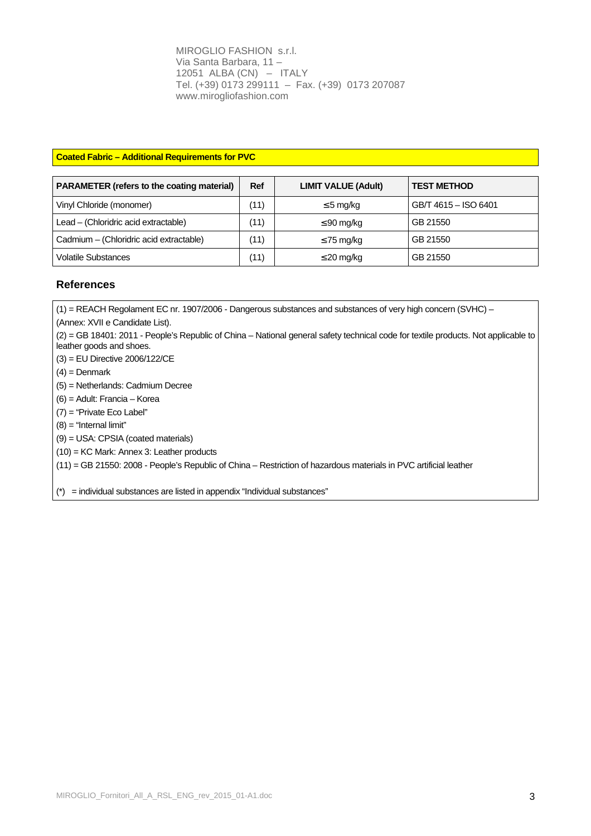### **Coated Fabric – Additional Requirements for PVC**

| <b>PARAMETER (refers to the coating material)</b> | <b>Ref</b> | <b>LIMIT VALUE (Adult)</b> | <b>TEST METHOD</b>   |
|---------------------------------------------------|------------|----------------------------|----------------------|
| Vinyl Chloride (monomer)                          | (11)       | $\leq$ 5 mg/kg             | GB/T 4615 - ISO 6401 |
| Lead – (Chloridric acid extractable)              | (11)       | $\leq 90$ mg/kg            | GB 21550             |
| Cadmium - (Chloridric acid extractable)           | (11)       | $\leq$ 75 mg/kg            | GB 21550             |
| <b>Volatile Substances</b>                        | (11)       | $\leq$ 20 mg/kg            | GB 21550             |

## **References**

(1) = REACH Regolament EC nr. 1907/2006 - Dangerous substances and substances of very high concern (SVHC) –

(Annex: XVII e Candidate List).

(2) = GB 18401: 2011 - People's Republic of China – National general safety technical code for textile products. Not applicable to leather goods and shoes.

- (3) = EU Directive 2006/122/CE
- $(4)$  = Denmark
- (5) = Netherlands: Cadmium Decree
- (6) = Adult: Francia Korea
- (7) = "Private Eco Label"
- $(8)$  = "Internal limit"
- (9) = USA: CPSIA (coated materials)
- (10) = KC Mark: Annex 3: Leather products

(11) = GB 21550: 2008 - People's Republic of China – Restriction of hazardous materials in PVC artificial leather

(\*) = individual substances are listed in appendix "Individual substances"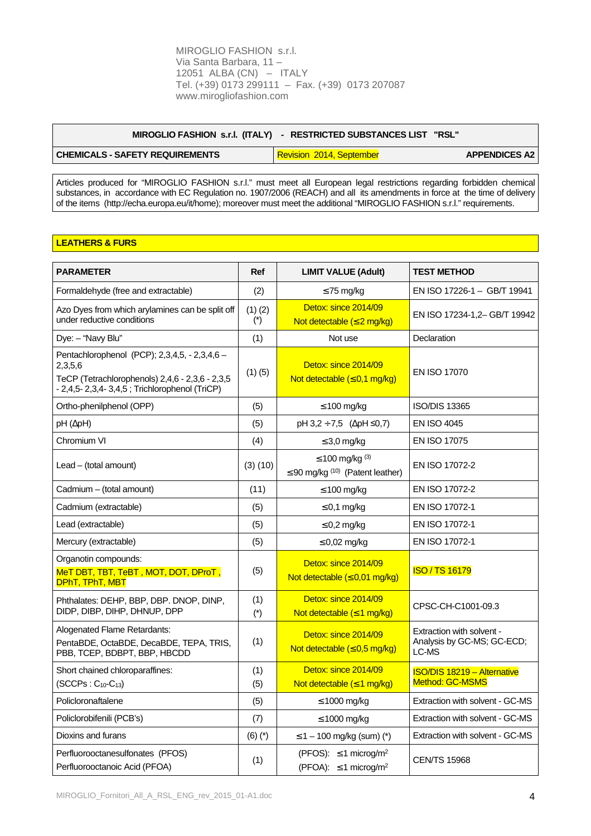| MIROGLIO FASHION s.r.l. (ITALY) | - RESTRICTED SUBSTANCES LIST "RSL" |                      |
|---------------------------------|------------------------------------|----------------------|
| CHEMICALS - SAFETY REQUIREMENTS | Revision 2014, September           | <b>APPENDICES A2</b> |

Articles produced for "MIROGLIO FASHION s.r.l." must meet all European legal restrictions regarding forbidden chemical substances, in accordance with EC Regulation no. 1907/2006 (REACH) and all its amendments in force at the time of delivery of the items (http://echa.europa.eu/it/home); moreover must meet the additional "MIROGLIO FASHION s.r.l." requirements.

# **LEATHERS & FURS**

| <b>PARAMETER</b>                                                                                                                                               | <b>Ref</b>           | <b>LIMIT VALUE (Adult)</b>                                                       | <b>TEST METHOD</b>                                               |
|----------------------------------------------------------------------------------------------------------------------------------------------------------------|----------------------|----------------------------------------------------------------------------------|------------------------------------------------------------------|
| Formaldehyde (free and extractable)                                                                                                                            | (2)                  | $\leq$ 75 mg/kg                                                                  | EN ISO 17226-1 - GB/T 19941                                      |
| Azo Dyes from which arylamines can be split off<br>under reductive conditions                                                                                  | $(1)$ $(2)$<br>$(*)$ | Detox: since 2014/09<br>Not detectable $(\leq 2 \text{ mg/kg})$                  | EN ISO 17234-1,2- GB/T 19942                                     |
| Dye: - "Navy Blu"                                                                                                                                              | (1)                  | Not use                                                                          | Declaration                                                      |
| Pentachlorophenol (PCP); 2,3,4,5, - 2,3,4,6 -<br>2,3,5,6<br>TeCP (Tetrachlorophenols) 2,4,6 - 2,3,6 - 2,3,5<br>- 2,4,5- 2,3,4- 3,4,5 ; Trichlorophenol (TriCP) | (1)(5)               | Detox: since 2014/09<br>Not detectable $( \leq 0, 1 \text{ mg/kg})$              | EN ISO 17070                                                     |
| Ortho-phenilphenol (OPP)                                                                                                                                       | (5)                  | $\leq 100$ mg/kg                                                                 | <b>ISO/DIS 13365</b>                                             |
| $pH(\Delta pH)$                                                                                                                                                | (5)                  | $pH$ 3,2 ÷ 7,5 ( $\Delta pH \le 0.7$ )                                           | <b>EN ISO 4045</b>                                               |
| Chromium VI                                                                                                                                                    | (4)                  | $\leq$ 3,0 mg/kg                                                                 | EN ISO 17075                                                     |
| $Leaf - (total amount)$                                                                                                                                        | $(3)$ $(10)$         | ≤ 100 mg/kg $^{(3)}$<br>$\leq$ 90 mg/kg <sup>(10)</sup> (Patent leather)         | EN ISO 17072-2                                                   |
| Cadmium - (total amount)                                                                                                                                       | (11)                 | $\leq 100$ mg/kg                                                                 | EN ISO 17072-2                                                   |
| Cadmium (extractable)                                                                                                                                          | (5)                  | $\leq$ 0,1 mg/kg                                                                 | EN ISO 17072-1                                                   |
| Lead (extractable)                                                                                                                                             | (5)                  | $\leq$ 0,2 mg/kg                                                                 | EN ISO 17072-1                                                   |
| Mercury (extractable)                                                                                                                                          | (5)                  | $\leq$ 0,02 mg/kg                                                                | EN ISO 17072-1                                                   |
| Organotin compounds:<br>MeT DBT, TBT, TeBT, MOT, DOT, DProT,<br>DPhT, TPhT, MBT                                                                                | (5)                  | Detox: since 2014/09<br>Not detectable $(\leq 0.01$ mg/kg)                       | <b>ISO / TS 16179</b>                                            |
| Phthalates: DEHP, BBP, DBP. DNOP, DINP,<br>DIDP, DIBP, DIHP, DHNUP, DPP                                                                                        | (1)<br>$(*)$         | Detox: since 2014/09<br>Not detectable $( \leq 1$ mg/kg)                         | CPSC-CH-C1001-09.3                                               |
| Alogenated Flame Retardants:<br>PentaBDE, OctaBDE, DecaBDE, TEPA, TRIS,<br>PBB, TCEP, BDBPT, BBP, HBCDD                                                        | (1)                  | Detox: since 2014/09<br>Not detectable $( \leq 0.5$ mg/kg)                       | Extraction with solvent -<br>Analysis by GC-MS; GC-ECD;<br>LC-MS |
| Short chained chloroparaffines:<br>$(SCCPs: C10-C13)$                                                                                                          | (1)<br>(5)           | Detox: since 2014/09<br>Not detectable $( \leq 1$ mg/kg)                         | <b>ISO/DIS 18219 - Alternative</b><br>Method: GC-MSMS            |
| Policloronaftalene                                                                                                                                             | (5)                  | $\leq 1000$ mg/kg                                                                | Extraction with solvent - GC-MS                                  |
| Policlorobifenili (PCB's)                                                                                                                                      | (7)                  | $\leq 1000$ mg/kg                                                                | Extraction with solvent - GC-MS                                  |
| Dioxins and furans                                                                                                                                             | $(6)$ $(*)$          | $\leq$ 1 – 100 mg/kg (sum) (*)                                                   | Extraction with solvent - GC-MS                                  |
| Perfluorooctanesulfonates (PFOS)<br>Perfluorooctanoic Acid (PFOA)                                                                                              | (1)                  | (PFOS): $\leq$ 1 microg/m <sup>2</sup><br>(PFOA): $\leq$ 1 microg/m <sup>2</sup> | <b>CEN/TS 15968</b>                                              |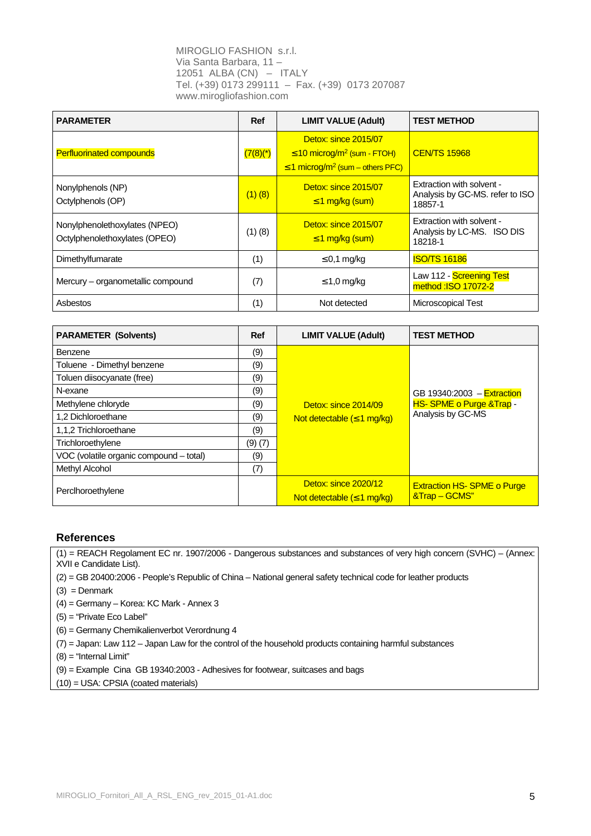| <b>PARAMETER</b>                                               | Ref                    | <b>LIMIT VALUE (Adult)</b>                                                                                                | <b>TEST METHOD</b>                                                      |
|----------------------------------------------------------------|------------------------|---------------------------------------------------------------------------------------------------------------------------|-------------------------------------------------------------------------|
| <b>Perfluorinated compounds</b>                                | $(7(8)$ <sup>*</sup> ) | Detox: since 2015/07<br>$\leq$ 10 microg/m <sup>2</sup> (sum - FTOH)<br>$\leq$ 1 microg/m <sup>2</sup> (sum – others PFC) | <b>CEN/TS 15968</b>                                                     |
| Nonylphenols (NP)<br>Octylphenols (OP)                         | $(1)$ (8)              | Detox: since 2015/07<br>$\leq$ 1 mg/kg (sum)                                                                              | Extraction with solvent -<br>Analysis by GC-MS. refer to ISO<br>18857-1 |
| Nonylphenolethoxylates (NPEO)<br>Octylphenolethoxylates (OPEO) | $(1)$ $(8)$            | Detox: since 2015/07<br>$\leq$ 1 mg/kg (sum)                                                                              | Extraction with solvent -<br>Analysis by LC-MS. ISO DIS<br>18218-1      |
| Dimethylfumarate                                               | (1)                    | $\leq$ 0,1 mg/kg                                                                                                          | <b>ISO/TS 16186</b>                                                     |
| Mercury - organometallic compound                              | (7)                    | $\leq$ 1,0 mg/kg                                                                                                          | Law 112 - Screening Test<br>method: ISO 17072-2                         |
| Asbestos                                                       | (1)                    | Not detected                                                                                                              | Microscopical Test                                                      |

| <b>PARAMETER (Solvents)</b>             | <b>Ref</b> | <b>LIMIT VALUE (Adult)</b>                                      | <b>TEST METHOD</b>                                 |
|-----------------------------------------|------------|-----------------------------------------------------------------|----------------------------------------------------|
| Benzene                                 | (9)        |                                                                 |                                                    |
| Toluene - Dimethyl benzene              | (9)        |                                                                 |                                                    |
| Toluen diisocyanate (free)              | (9)        |                                                                 |                                                    |
| N-exane                                 | (9)        |                                                                 | GB 19340:2003 - Extraction                         |
| Methylene chloryde                      | (9)        | Detox: since 2014/09                                            | <b>HS-SPME o Purge &amp; Trap -</b>                |
| 1.2 Dichloroethane                      | (9)        | Not detectable $(\leq 1 \text{ mg/kg})$                         | Analysis by GC-MS                                  |
| 1,1,2 Trichloroethane                   | (9)        |                                                                 |                                                    |
| Trichloroethylene                       | (9)(7)     |                                                                 |                                                    |
| VOC (volatile organic compound – total) | (9)        |                                                                 |                                                    |
| Methyl Alcohol                          | (7)        |                                                                 |                                                    |
| Perclhoroethylene                       |            | Detox: since 2020/12<br>Not detectable $(\leq 1 \text{ mg/kg})$ | <b>Extraction HS-SPME o Purge</b><br>&Trap - GCMS" |

# **References**

(1) = REACH Regolament EC nr. 1907/2006 - Dangerous substances and substances of very high concern (SVHC) – (Annex: XVII e Candidate List).

(2) = GB 20400:2006 - People's Republic of China – National general safety technical code for leather products

 $(3) =$ Denmark

(4) = Germany – Korea: KC Mark - Annex 3

(5) = "Private Eco Label"

(6) = Germany Chemikalienverbot Verordnung 4

(7) = Japan: Law 112 – Japan Law for the control of the household products containing harmful substances

(8) = "Internal Limit"

(9) = Example Cina GB 19340:2003 - Adhesives for footwear, suitcases and bags

(10) = USA: CPSIA (coated materials)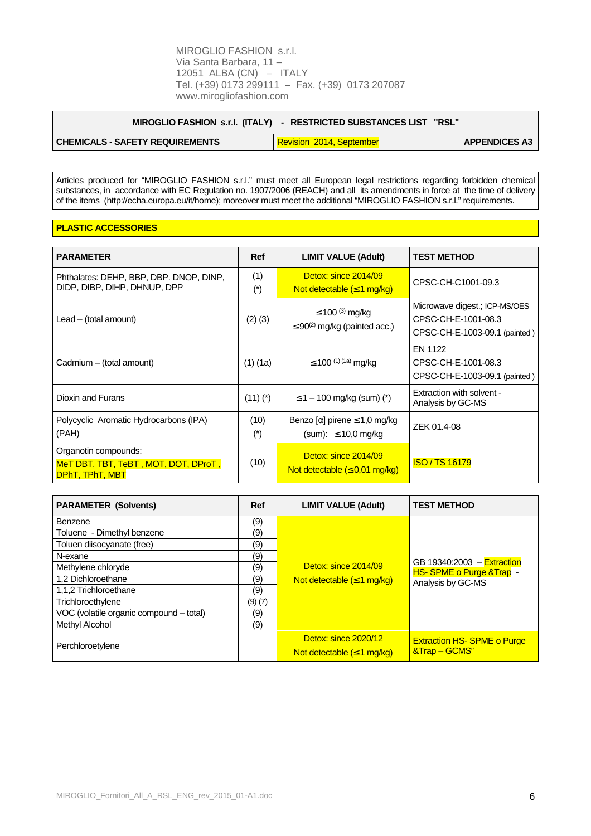| MIROGLIO FASHION s.r.l. (ITALY) | - RESTRICTED SUBSTANCES LIST "RSL" |                      |
|---------------------------------|------------------------------------|----------------------|
| CHEMICALS - SAFETY REQUIREMENTS | Revision 2014, September           | <b>APPENDICES A3</b> |

Articles produced for "MIROGLIO FASHION s.r.l." must meet all European legal restrictions regarding forbidden chemical substances, in accordance with EC Regulation no. 1907/2006 (REACH) and all its amendments in force at the time of delivery of the items (http://echa.europa.eu/it/home); moreover must meet the additional "MIROGLIO FASHION s.r.l." requirements.

#### **PLASTIC ACCESSORIES**

 $\overline{1}$ 

| <b>PARAMETER</b>                                                                       | <b>Ref</b>    | <b>LIMIT VALUE (Adult)</b>                                             | <b>TEST METHOD</b>                                                                    |
|----------------------------------------------------------------------------------------|---------------|------------------------------------------------------------------------|---------------------------------------------------------------------------------------|
| Phthalates: DEHP, BBP, DBP. DNOP, DINP,<br>DIDP, DIBP, DIHP, DHNUP, DPP                | (1)<br>$(*)$  | Detox: since 2014/09<br>Not detectable $(\leq 1 \text{ mg/kg})$        | CPSC-CH-C1001-09.3                                                                    |
| $Leaf - (total amount)$                                                                | $(2)$ $(3)$   | ≤ 100 <sup>(3)</sup> mg/kg<br>$\leq 90^{(2)}$ mg/kg (painted acc.)     | Microwave digest.; ICP-MS/OES<br>CPSC-CH-E-1001-08.3<br>CPSC-CH-E-1003-09.1 (painted) |
| Cadmium - (total amount)                                                               | $(1)$ (1a)    | $\leq$ 100 <sup>(1) (1a)</sup> mg/kg                                   | EN 1122<br>CPSC-CH-E-1001-08.3<br>CPSC-CH-E-1003-09.1 (painted)                       |
| Dioxin and Furans                                                                      | $(11)(*)$     | $\leq$ 1 – 100 mg/kg (sum) (*)                                         | Extraction with solvent -<br>Analysis by GC-MS                                        |
| Polycyclic Aromatic Hydrocarbons (IPA)<br>(PAH)                                        | (10)<br>$(*)$ | Benzo [ $\alpha$ ] pirene $\leq 1,0$ mg/kg<br>$(sum): \leq 10.0$ mg/kg | ZEK 01.4-08                                                                           |
| Organotin compounds:<br>MeT DBT, TBT, TeBT, MOT, DOT, DProT,<br><b>DPhT, TPhT, MBT</b> | (10)          | Detox: since 2014/09<br>Not detectable $(\leq 0.01$ mg/kg)             | <b>ISO/TS16179</b>                                                                    |

| <b>PARAMETER (Solvents)</b>             | <b>Ref</b> | <b>LIMIT VALUE (Adult)</b>              | <b>TEST METHOD</b>                                       |
|-----------------------------------------|------------|-----------------------------------------|----------------------------------------------------------|
| Benzene                                 | (9)        |                                         |                                                          |
| Toluene - Dimethyl benzene              | (9)        |                                         |                                                          |
| Toluen diisocyanate (free)              | (9)        |                                         |                                                          |
| N-exane                                 | (9)        |                                         |                                                          |
| Methylene chloryde                      | (9)        | Detox: since 2014/09                    | GB 19340:2003 $-$ Extraction<br>HS-SPME o Purge & Trap - |
| 1.2 Dichloroethane                      | (9)        | Not detectable $(\leq 1 \text{ mg/kg})$ | Analysis by GC-MS                                        |
| 1,1,2 Trichloroethane                   | (9)        |                                         |                                                          |
| Trichloroethylene                       | (9)(7)     |                                         |                                                          |
| VOC (volatile organic compound - total) | (9)        |                                         |                                                          |
| Methyl Alcohol                          | (9)        |                                         |                                                          |
|                                         |            | Detox: since 2020/12                    | <b>Extraction HS- SPME o Purge</b>                       |
| Perchloroetylene                        |            | Not detectable $(\leq 1 \text{ mg/kg})$ | &Trap – GCMS"                                            |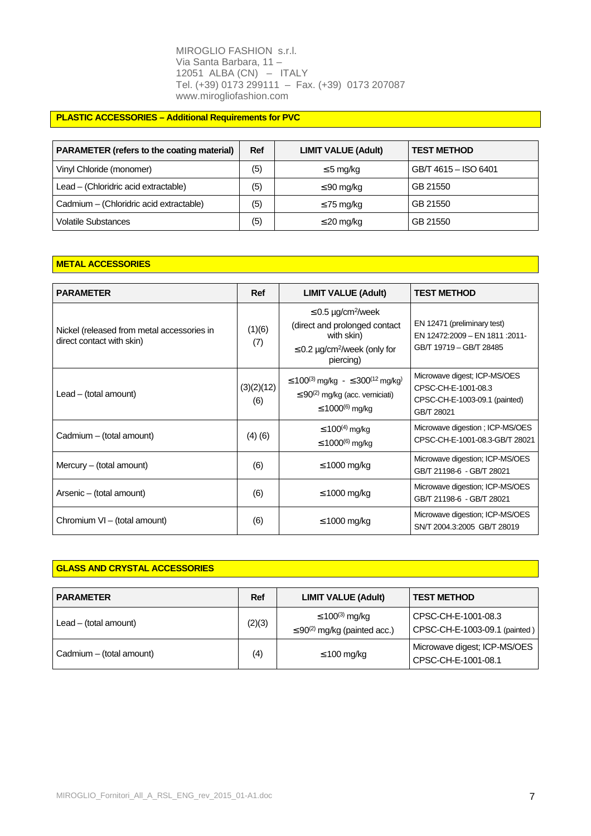# **PLASTIC ACCESSORIES – Additional Requirements for PVC**

| <b>PARAMETER (refers to the coating material)</b> |     | <b>LIMIT VALUE (Adult)</b> | <b>TEST METHOD</b>   |
|---------------------------------------------------|-----|----------------------------|----------------------|
| Vinyl Chloride (monomer)                          | (5) | $\leq$ 5 mg/kg             | GB/T 4615 - ISO 6401 |
| Lead - (Chloridric acid extractable)              | (5) | $\leq$ 90 mg/kg            | GB 21550             |
| Cadmium - (Chloridric acid extractable)           | (5) | $\leq$ 75 mg/kg            | GB 21550             |
| <b>Volatile Substances</b>                        | (5) | $\leq$ 20 mg/kg            | GB 21550             |

# **METAL ACCESSORIES**

| <b>PARAMETER</b>                                                        | <b>Ref</b>        | <b>LIMIT VALUE (Adult)</b>                                                                                                                                   | <b>TEST METHOD</b>                                                                                 |
|-------------------------------------------------------------------------|-------------------|--------------------------------------------------------------------------------------------------------------------------------------------------------------|----------------------------------------------------------------------------------------------------|
| Nickel (released from metal accessories in<br>direct contact with skin) | (1)(6)<br>(7)     | $\leq$ 0.5 µg/cm <sup>2</sup> /week<br>(direct and prolonged contact<br>with skin)<br>$\leq$ 0.2 µg/cm <sup>2</sup> /week (only for<br>piercing)             | EN 12471 (preliminary test)<br>EN 12472:2009 - EN 1811 :2011-<br>GB/T 19719 - GB/T 28485           |
| $Leaf - (total amount)$                                                 | (3)(2)(12)<br>(6) | $\leq$ 100 <sup>(3)</sup> mg/kg - ≤ 300 <sup>(12</sup> mg/kg <sup>)</sup><br>$\leq$ 90 <sup>(2)</sup> mg/kg (acc. verniciati)<br>≤ 1000 <sup>(6)</sup> mg/kg | Microwave digest; ICP-MS/OES<br>CPSC-CH-E-1001-08.3<br>CPSC-CH-E-1003-09.1 (painted)<br>GB/T 28021 |
| Cadmium - (total amount)                                                | (4)(6)            | ≤ 100 <sup>(4)</sup> mg/kg<br>≤ 1000 <sup>(6)</sup> mg/kg                                                                                                    | Microwave digestion; ICP-MS/OES<br>CPSC-CH-E-1001-08.3-GB/T 28021                                  |
| Mercury – (total amount)                                                | (6)               | $\leq$ 1000 mg/kg                                                                                                                                            | Microwave digestion; ICP-MS/OES<br>GB/T 21198-6 - GB/T 28021                                       |
| Arsenic – (total amount)                                                | (6)               | $\leq 1000$ mg/kg                                                                                                                                            | Microwave digestion; ICP-MS/OES<br>GB/T 21198-6 - GB/T 28021                                       |
| Chromium VI - (total amount)                                            | (6)               | $\leq$ 1000 mg/kg                                                                                                                                            | Microwave digestion; ICP-MS/OES<br>SN/T 2004.3:2005 GB/T 28019                                     |

## **GLASS AND CRYSTAL ACCESSORIES**

| <b>PARAMETER</b>         |        | <b>LIMIT VALUE (Adult)</b>                                                  | <b>TEST METHOD</b>                                   |
|--------------------------|--------|-----------------------------------------------------------------------------|------------------------------------------------------|
| $Leaf - (total amount)$  | (2)(3) | ≤ 100 <sup>(3)</sup> mg/kg<br>$\leq$ 90 <sup>(2)</sup> mg/kg (painted acc.) | CPSC-CH-E-1001-08.3<br>CPSC-CH-E-1003-09.1 (painted) |
| Cadmium - (total amount) | (4)    | $\leq 100$ mg/kg                                                            | Microwave digest; ICP-MS/OES<br>CPSC-CH-E-1001-08.1  |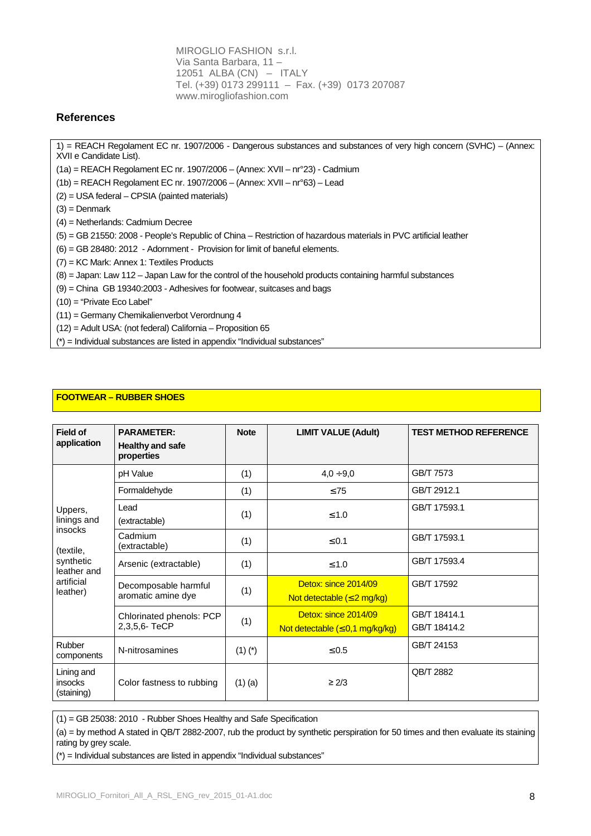# **References**

1) = REACH Regolament EC nr. 1907/2006 - Dangerous substances and substances of very high concern (SVHC) – (Annex: XVII e Candidate List).

(1a) = REACH Regolament EC nr. 1907/2006 – (Annex: XVII – nr°23) - Cadmium

(1b) = REACH Regolament EC nr. 1907/2006 – (Annex: XVII – nr°63) – Lead

- (2) = USA federal CPSIA (painted materials)
- $(3)$  = Denmark
- (4) = Netherlands: Cadmium Decree

(5) = GB 21550: 2008 - People's Republic of China – Restriction of hazardous materials in PVC artificial leather

(6) = GB 28480: 2012 - Adornment - Provision for limit of baneful elements.

(7) = KC Mark: Annex 1: Textiles Products

(8) = Japan: Law 112 – Japan Law for the control of the household products containing harmful substances

(9) = China GB 19340:2003 - Adhesives for footwear, suitcases and bags

(10) = "Private Eco Label"

(11) = Germany Chemikalienverbot Verordnung 4

(12) = Adult USA: (not federal) California – Proposition 65

(\*) = Individual substances are listed in appendix "Individual substances"

# **FOOTWEAR – RUBBER SHOES**

| <b>Field of</b><br>application                                                                                                                                                                       | <b>PARAMETER:</b><br><b>Healthy and safe</b><br>properties | <b>Note</b>       | <b>LIMIT VALUE (Adult)</b>                                           | <b>TEST METHOD REFERENCE</b> |
|------------------------------------------------------------------------------------------------------------------------------------------------------------------------------------------------------|------------------------------------------------------------|-------------------|----------------------------------------------------------------------|------------------------------|
|                                                                                                                                                                                                      | pH Value                                                   | (1)               | $4,0 \div 9,0$                                                       | GB/T 7573                    |
|                                                                                                                                                                                                      | Formaldehyde                                               | (1)               | $\leq 75$                                                            | GB/T 2912.1                  |
| Uppers,<br>linings and                                                                                                                                                                               | Lead<br>(extractable)                                      | (1)               | $\leq 1.0$                                                           | GB/T 17593.1                 |
| <i>insocks</i><br>Cadmium<br>(extractable)<br>(textile,<br>synthetic<br>Arsenic (extractable)<br>leather and<br>artificial<br>Decomposable harmful<br>leather)<br>aromatic amine dye<br>2,3,5,6-TeCP |                                                            | (1)<br>$\leq 0.1$ |                                                                      | GB/T 17593.1                 |
|                                                                                                                                                                                                      |                                                            | (1)               | $≤ 1.0$                                                              | GB/T 17593.4                 |
|                                                                                                                                                                                                      |                                                            | (1)               | Detox: since 2014/09<br>Not detectable $(\leq 2 \text{ mg/kg})$      | GB/T 17592                   |
|                                                                                                                                                                                                      | Chlorinated phenols: PCP                                   | (1)               | Detox: since 2014/09<br>Not detectable $(\leq 0.1 \text{ mg/kg/kg})$ | GB/T 18414.1<br>GB/T 18414.2 |
| Rubber<br>components                                                                                                                                                                                 | N-nitrosamines                                             | $(1)$ $(*)$       | $\leq 0.5$                                                           | GB/T 24153                   |
| Lining and<br>insocks<br>(staining)                                                                                                                                                                  | Color fastness to rubbing                                  | $(1)$ (a)         | $\geq$ 2/3                                                           | QB/T 2882                    |

(1) = GB 25038: 2010 - Rubber Shoes Healthy and Safe Specification

(a) = by method A stated in QB/T 2882-2007, rub the product by synthetic perspiration for 50 times and then evaluate its staining rating by grey scale.

(\*) = Individual substances are listed in appendix "Individual substances"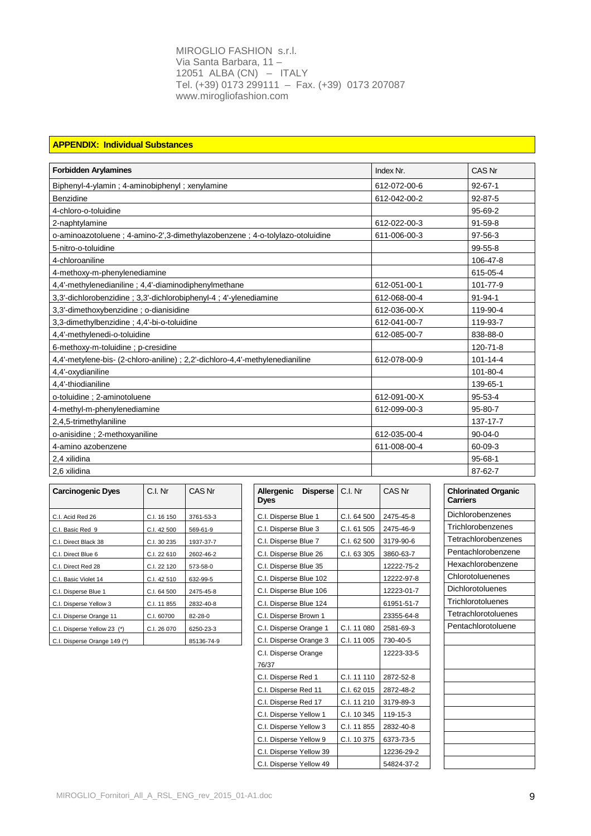## **APPENDIX: Individual Substances**

| <b>Forbidden Arylamines</b>                                                   | Index Nr.    | CAS Nr         |
|-------------------------------------------------------------------------------|--------------|----------------|
| Biphenyl-4-ylamin; 4-aminobiphenyl; xenylamine                                | 612-072-00-6 | $92 - 67 - 1$  |
| Benzidine                                                                     | 612-042-00-2 | $92 - 87 - 5$  |
| 4-chloro-o-toluidine                                                          |              | 95-69-2        |
| 2-naphtylamine                                                                | 612-022-00-3 | $91 - 59 - 8$  |
| o-aminoazotoluene; 4-amino-2', 3-dimethylazobenzene; 4-o-tolylazo-otoluidine  | 611-006-00-3 | $97-56-3$      |
| 5-nitro-o-toluidine                                                           |              | $99 - 55 - 8$  |
| 4-chloroaniline                                                               |              | 106-47-8       |
| 4-methoxy-m-phenylenediamine                                                  |              | 615-05-4       |
| 4,4'-methylenedianiline; 4,4'-diaminodiphenylmethane                          | 612-051-00-1 | 101-77-9       |
| 3,3'-dichlorobenzidine; 3,3'-dichlorobiphenyl-4; 4'-ylenediamine              | 612-068-00-4 | $91 - 94 - 1$  |
| 3,3'-dimethoxybenzidine : o-dianisidine                                       | 612-036-00-X | 119-90-4       |
| 3,3-dimethylbenzidine; 4,4'-bi-o-toluidine                                    | 612-041-00-7 | 119-93-7       |
| 4,4'-methylenedi-o-toluidine                                                  | 612-085-00-7 | 838-88-0       |
| 6-methoxy-m-toluidine; p-cresidine                                            |              | 120-71-8       |
| 4,4'-metylene-bis- (2-chloro-aniline) ; 2,2'-dichloro-4,4'-methylenedianiline | 612-078-00-9 | $101 - 14 - 4$ |
| 4,4'-oxydianiline                                                             |              | 101-80-4       |
| 4,4'-thiodianiline                                                            |              | 139-65-1       |
| o-toluidine ; 2-aminotoluene                                                  | 612-091-00-X | $95 - 53 - 4$  |
| 4-methyl-m-phenylenediamine                                                   | 612-099-00-3 | $95 - 80 - 7$  |
| 2,4,5-trimethylaniline                                                        |              | 137-17-7       |
| o-anisidine; 2-methoxyaniline                                                 | 612-035-00-4 | $90 - 04 - 0$  |
| 4-amino azobenzene                                                            | 611-008-00-4 | 60-09-3        |
| 2,4 xilidina                                                                  |              | 95-68-1        |
| 2.6 xilidina                                                                  |              | 87-62-7        |

| <b>Carcinogenic Dyes</b>     | C.I. Nr     | CAS Nr     | <b>Disperse</b><br><b>Allergenic</b><br><b>Dyes</b> | C.I. Nr     | CAS Nr     | <b>Chlorinated Organic</b><br><b>Carriers</b> |
|------------------------------|-------------|------------|-----------------------------------------------------|-------------|------------|-----------------------------------------------|
| C.I. Acid Red 26             | C.I. 16 150 | 3761-53-3  | C.I. Disperse Blue 1                                | C.I. 64 500 | 2475-45-8  | <b>Dichlorobenzenes</b>                       |
| C.I. Basic Red 9             | C.I. 42 500 | 569-61-9   | C.I. Disperse Blue 3                                | C.I. 61 505 | 2475-46-9  | Trichlorobenzenes                             |
| C.I. Direct Black 38         | C.I. 30 235 | 1937-37-7  | C.I. Disperse Blue 7                                | C.I. 62 500 | 3179-90-6  | Tetrachlorobenzenes                           |
| C.I. Direct Blue 6           | C.I. 22 610 | 2602-46-2  | C.I. Disperse Blue 26                               | C.I. 63 305 | 3860-63-7  | Pentachlorobenzene                            |
| C.I. Direct Red 28           | C.I. 22 120 | 573-58-0   | C.I. Disperse Blue 35                               |             | 12222-75-2 | Hexachlorobenzene                             |
| C.I. Basic Violet 14         | C.I. 42 510 | 632-99-5   | C.I. Disperse Blue 102                              |             | 12222-97-8 | Chlorotoluenenes                              |
| C.I. Disperse Blue 1         | C.I. 64 500 | 2475-45-8  | C.I. Disperse Blue 106                              |             | 12223-01-7 | <b>Dichlorotoluenes</b>                       |
| C.I. Disperse Yellow 3       | C.I. 11 855 | 2832-40-8  | C.I. Disperse Blue 124                              |             | 61951-51-7 | Trichlorotoluenes                             |
| C.I. Disperse Orange 11      | C.I. 60700  | 82-28-0    | C.I. Disperse Brown 1                               |             | 23355-64-8 | Tetrachlorotoluenes                           |
| C.I. Disperse Yellow 23 (*)  | C.I. 26 070 | 6250-23-3  | C.I. Disperse Orange 1                              | C.I. 11 080 | 2581-69-3  | Pentachlorotoluene                            |
| C.I. Disperse Orange 149 (*) |             | 85136-74-9 | C.I. Disperse Orange 3                              | C.I. 11 005 | 730-40-5   |                                               |

| <b>Carcinogenic Dyes</b>     | C.I. Nr     | CAS Nr     | <b>Allergenic</b><br><b>Disperse</b><br><b>Dyes</b> | C.I. Nr     | CAS Nr     | <b>Chlorinated Organic</b><br><b>Carriers</b> |
|------------------------------|-------------|------------|-----------------------------------------------------|-------------|------------|-----------------------------------------------|
| C.I. Acid Red 26             | C.I. 16 150 | 3761-53-3  | C.I. Disperse Blue 1                                | C.I. 64 500 | 2475-45-8  | <b>Dichlorobenzenes</b>                       |
| C.I. Basic Red 9             | C.I. 42 500 | 569-61-9   | C.I. Disperse Blue 3                                | C.I. 61 505 | 2475-46-9  | Trichlorobenzenes                             |
| C.I. Direct Black 38         | C.I. 30 235 | 1937-37-7  | C.I. Disperse Blue 7                                | C.I. 62 500 | 3179-90-6  | Tetrachlorobenzenes                           |
| C.I. Direct Blue 6           | C.I. 22 610 | 2602-46-2  | C.I. Disperse Blue 26                               | C.I. 63 305 | 3860-63-7  | Pentachlorobenzene                            |
| C.I. Direct Red 28           | C.I. 22 120 | 573-58-0   | C.I. Disperse Blue 35                               |             | 12222-75-2 | Hexachlorobenzene                             |
| C.I. Basic Violet 14         | C.I. 42 510 | 632-99-5   | C.I. Disperse Blue 102                              |             | 12222-97-8 | Chlorotoluenenes                              |
| C.I. Disperse Blue 1         | C.I. 64 500 | 2475-45-8  | C.I. Disperse Blue 106                              |             | 12223-01-7 | <b>Dichlorotoluenes</b>                       |
| C.I. Disperse Yellow 3       | C.I. 11 855 | 2832-40-8  | C.I. Disperse Blue 124                              |             | 61951-51-7 | <b>Trichlorotoluenes</b>                      |
| C.I. Disperse Orange 11      | C.I. 60700  | 82-28-0    | C.I. Disperse Brown 1                               |             | 23355-64-8 | <b>Tetrachlorotoluenes</b>                    |
| C.I. Disperse Yellow 23 (*)  | C.I. 26 070 | 6250-23-3  | C.I. Disperse Orange 1                              | C.I. 11 080 | 2581-69-3  | Pentachlorotoluene                            |
| C.I. Disperse Orange 149 (*) |             | 85136-74-9 | C.I. Disperse Orange 3                              | C.I. 11 005 | 730-40-5   |                                               |
|                              |             |            | C.I. Disperse Orange                                |             | 12223-33-5 |                                               |
|                              |             |            | 76/37                                               |             |            |                                               |
|                              |             |            | C.I. Disperse Red 1                                 | C.I. 11 110 | 2872-52-8  |                                               |
|                              |             |            | C.I. Disperse Red 11                                | C.I. 62 015 | 2872-48-2  |                                               |
|                              |             |            | C.I. Disperse Red 17                                | C.I. 11 210 | 3179-89-3  |                                               |
|                              |             |            | C.I. Disperse Yellow 1                              | C.I. 10 345 | 119-15-3   |                                               |
|                              |             |            | C.I. Disperse Yellow 3                              | C.I. 11 855 | 2832-40-8  |                                               |
|                              |             |            | C.I. Disperse Yellow 9                              | C.I. 10 375 | 6373-73-5  |                                               |
|                              |             |            | C.I. Disperse Yellow 39                             |             | 12236-29-2 |                                               |
|                              |             |            | C.I. Disperse Yellow 49                             |             | 54824-37-2 |                                               |

| <b>Chlorinated Organic</b><br>Carriers |
|----------------------------------------|
| Dichlorobenzenes                       |
| Trichlorobenzenes                      |
| Tetrachlorobenzenes                    |
| Pentachlorobenzene                     |
| Hexachlorobenzene                      |
| Chlorotoluenenes                       |
| Dichlorotoluenes                       |
| Trichlorotoluenes                      |
| Tetrachlorotoluenes                    |
| Pentachlorotoluene                     |
|                                        |
|                                        |
|                                        |
|                                        |
|                                        |
|                                        |
|                                        |
|                                        |
|                                        |
|                                        |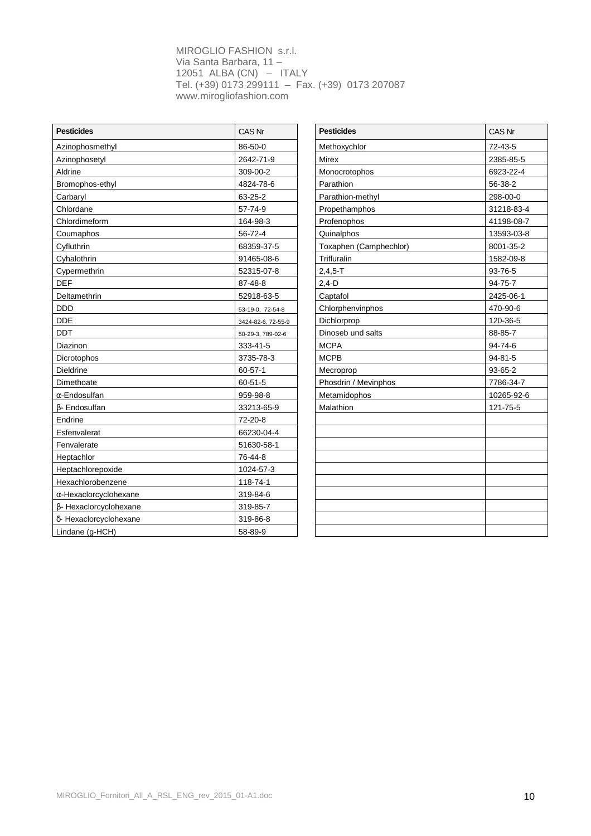| <b>Pesticides</b>             | CAS Nr             | <b>Pesticides</b>      | CAS Nr        |
|-------------------------------|--------------------|------------------------|---------------|
| Azinophosmethyl               | 86-50-0            | Methoxychlor           | 72-43-5       |
| Azinophosetyl                 | 2642-71-9          | <b>Mirex</b>           | 2385-85-5     |
| Aldrine                       | 309-00-2           | Monocrotophos          | 6923-22-4     |
| Bromophos-ethyl               | 4824-78-6          | Parathion              | 56-38-2       |
| Carbaryl                      | 63-25-2            | Parathion-methyl       | 298-00-0      |
| Chlordane                     | 57-74-9            | Propethamphos          | 31218-83-4    |
| Chlordimeform                 | 164-98-3           | Profenophos            | 41198-08-7    |
| Coumaphos                     | 56-72-4            | Quinalphos             | 13593-03-8    |
| Cyfluthrin                    | 68359-37-5         | Toxaphen (Camphechlor) | 8001-35-2     |
| Cyhalothrin                   | 91465-08-6         | Trifluralin            | 1582-09-8     |
| Cypermethrin                  | 52315-07-8         | $2,4,5 - T$            | 93-76-5       |
| <b>DEF</b>                    | 87-48-8            | $2,4-D$                | 94-75-7       |
| Deltamethrin                  | 52918-63-5         | Captafol               | 2425-06-1     |
| <b>DDD</b>                    | 53-19-0, 72-54-8   | Chlorphenvinphos       | 470-90-6      |
| <b>DDE</b>                    | 3424-82-6, 72-55-9 | Dichlorprop            | 120-36-5      |
| <b>DDT</b>                    | 50-29-3, 789-02-6  | Dinoseb und salts      | 88-85-7       |
| Diazinon                      | 333-41-5           | <b>MCPA</b>            | 94-74-6       |
| Dicrotophos                   | 3735-78-3          | <b>MCPB</b>            | $94 - 81 - 5$ |
| Dieldrine                     | $60 - 57 - 1$      | Mecroprop              | 93-65-2       |
| Dimethoate                    | $60 - 51 - 5$      | Phosdrin / Mevinphos   | 7786-34-7     |
| $\alpha$ -Endosulfan          | 959-98-8           | Metamidophos           | 10265-92-6    |
| B- Endosulfan                 | 33213-65-9         | Malathion              | 121-75-5      |
| Endrine                       | 72-20-8            |                        |               |
| Esfenvalerat                  | 66230-04-4         |                        |               |
| Fenvalerate                   | 51630-58-1         |                        |               |
| Heptachlor                    | 76-44-8            |                        |               |
| Heptachlorepoxide             | 1024-57-3          |                        |               |
| Hexachlorobenzene             | 118-74-1           |                        |               |
| $\alpha$ -Hexaclorcyclohexane | 319-84-6           |                        |               |
| β- Hexaclorcyclohexane        | 319-85-7           |                        |               |
| δ- Hexaclorcyclohexane        | 319-86-8           |                        |               |
| Lindane (q-HCH)               | 58-89-9            |                        |               |

| <b>Pesticides</b>      | <b>CAS Nr</b> |
|------------------------|---------------|
| Methoxychlor           | 72-43-5       |
| <b>Mirex</b>           | 2385-85-5     |
| Monocrotophos          | 6923-22-4     |
| Parathion              | 56-38-2       |
| Parathion-methyl       | 298-00-0      |
| Propethamphos          | 31218-83-4    |
| Profenophos            | 41198-08-7    |
| Quinalphos             | 13593-03-8    |
| Toxaphen (Camphechlor) | 8001-35-2     |
| Trifluralin            | 1582-09-8     |
| $2,4,5 - T$            | 93-76-5       |
| $2,4-D$                | 94-75-7       |
| Captafol               | 2425-06-1     |
| Chlorphenvinphos       | 470-90-6      |
| Dichlorprop            | 120-36-5      |
| Dinoseb und salts      | 88-85-7       |
| <b>MCPA</b>            | 94-74-6       |
| <b>MCPB</b>            | $94 - 81 - 5$ |
| Mecroprop              | 93-65-2       |
| Phosdrin / Mevinphos   | 7786-34-7     |
| Metamidophos           | 10265-92-6    |
| Malathion              | 121-75-5      |
|                        |               |
|                        |               |
|                        |               |
|                        |               |
|                        |               |
|                        |               |
|                        |               |
|                        |               |
|                        |               |
|                        |               |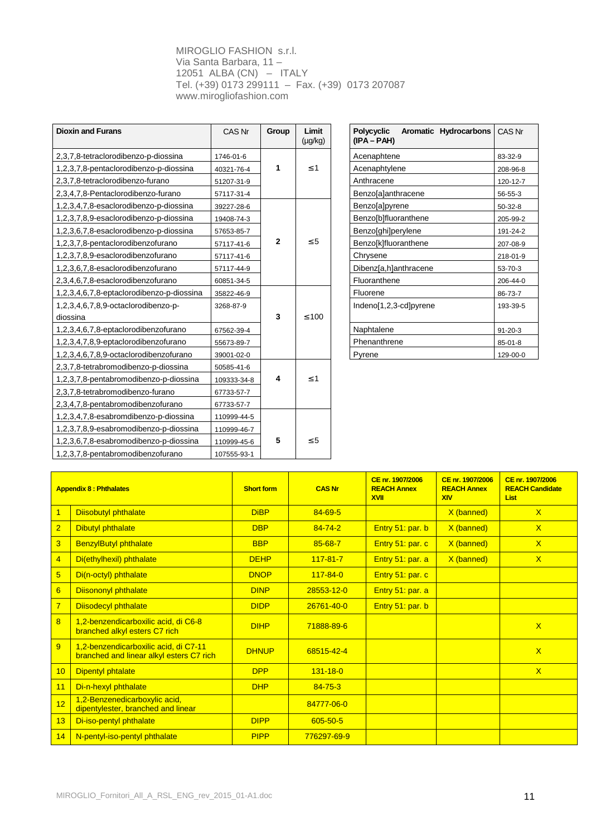| <b>Dioxin and Furans</b>                  | CAS Nr      | Group        | Limit<br>$(\mu g/kg)$ | <b>Polycyclic</b><br>Aromatic Hydrocarbons<br>$(IPA-PAH)$ | CAS Nr        |
|-------------------------------------------|-------------|--------------|-----------------------|-----------------------------------------------------------|---------------|
| 2,3,7,8-tetraclorodibenzo-p-diossina      | 1746-01-6   |              |                       | Acenaphtene                                               | 83-32-9       |
| 1,2,3,7,8-pentaclorodibenzo-p-diossina    | 40321-76-4  | 1            | $\leq 1$              | Acenaphtylene                                             | 208-96-8      |
| 2,3,7,8-tetraclorodibenzo-furano          | 51207-31-9  |              |                       | Anthracene                                                | 120-12-7      |
| 2,3,4,7,8-Pentaclorodibenzo-furano        | 57117-31-4  |              |                       | Benzo[a]anthracene                                        | 56-55-3       |
| 1,2,3,4,7,8-esaclorodibenzo-p-diossina    | 39227-28-6  |              |                       | Benzo[a]pyrene                                            | $50 - 32 - 8$ |
| 1,2,3,7,8,9-esaclorodibenzo-p-diossina    | 19408-74-3  |              |                       | Benzo[b]fluoranthene                                      | 205-99-2      |
| 1,2,3,6,7,8-esaclorodibenzo-p-diossina    | 57653-85-7  |              |                       | Benzo[ghi]perylene                                        | 191-24-2      |
| 1,2,3,7,8-pentaclorodibenzofurano         | 57117-41-6  | $\mathbf{2}$ | $\leq 5$              | Benzo[k]fluoranthene                                      | 207-08-9      |
| 1,2,3,7,8,9-esaclorodibenzofurano         | 57117-41-6  |              |                       | Chrysene                                                  | 218-01-9      |
| 1,2,3,6,7,8-esaclorodibenzofurano         | 57117-44-9  |              |                       | Dibenz[a,h]anthracene                                     | 53-70-3       |
| 2,3,4,6,7,8-esaclorodibenzofurano         | 60851-34-5  |              |                       | Fluoranthene                                              | 206-44-0      |
| 1,2,3,4,6,7,8-eptaclorodibenzo-p-diossina | 35822-46-9  |              |                       | Fluorene                                                  | 86-73-7       |
| 1,2,3,4,6,7,8,9-octaclorodibenzo-p-       | 3268-87-9   |              |                       | Indeno[1,2,3-cd]pyrene                                    | 193-39-5      |
| diossina                                  |             | 3            | $\leq 100$            |                                                           |               |
| 1,2,3,4,6,7,8-eptaclorodibenzofurano      | 67562-39-4  |              |                       | Naphtalene                                                | $91 - 20 - 3$ |
| 1,2,3,4,7,8,9-eptaclorodibenzofurano      | 55673-89-7  |              |                       | Phenanthrene                                              | $85 - 01 - 8$ |
| 1,2,3,4,6,7,8,9-octaclorodibenzofurano    | 39001-02-0  |              |                       | Pyrene                                                    | 129-00-0      |
| 2,3,7,8-tetrabromodibenzo-p-diossina      | 50585-41-6  |              |                       |                                                           |               |
| 1,2,3,7,8-pentabromodibenzo-p-diossina    | 109333-34-8 | 4            | $\leq 1$              |                                                           |               |
| 2,3,7,8-tetrabromodibenzo-furano          | 67733-57-7  |              |                       |                                                           |               |
| 2,3,4,7,8-pentabromodibenzofurano         | 67733-57-7  |              |                       |                                                           |               |
| 1,2,3,4,7,8-esabromdibenzo-p-diossina     | 110999-44-5 |              |                       |                                                           |               |
| 1,2,3,7,8,9-esabromodibenzo-p-diossina    | 110999-46-7 |              |                       |                                                           |               |
| 1,2,3,6,7,8-esabromodibenzo-p-diossina    | 110999-45-6 | 5            | $\leq 5$              |                                                           |               |
| 1,2,3,7,8-pentabromodibenzofurano         | 107555-93-1 |              |                       |                                                           |               |

| CAS Nr     | Group        | Limit<br>$(\mu g/kg)$ | Polycyclic<br>Aromatic Hydrocarbons<br>$(IPA-PAH)$ | CAS Nr        |
|------------|--------------|-----------------------|----------------------------------------------------|---------------|
| 1746-01-6  |              |                       | Acenaphtene                                        | 83-32-9       |
| 40321-76-4 | 1            | $\leq 1$              | Acenaphtylene                                      | 208-96-8      |
| 51207-31-9 |              |                       | Anthracene                                         | 120-12-7      |
| 57117-31-4 |              |                       | Benzo[a]anthracene                                 | 56-55-3       |
| 39227-28-6 |              |                       | Benzo[a]pyrene                                     | $50-32-8$     |
| 19408-74-3 |              |                       | Benzo[b]fluoranthene                               | 205-99-2      |
| 57653-85-7 |              |                       | Benzo[ghi]perylene                                 | 191-24-2      |
| 57117-41-6 | $\mathbf{2}$ | $\leq 5$              | Benzo[k]fluoranthene                               | 207-08-9      |
| 57117-41-6 |              |                       | Chrysene                                           | 218-01-9      |
| 57117-44-9 |              |                       | Dibenz[a,h]anthracene                              | 53-70-3       |
| 60851-34-5 |              |                       | Fluoranthene                                       | 206-44-0      |
| 35822-46-9 |              |                       | Fluorene                                           | 86-73-7       |
| 3268-87-9  |              |                       | Indeno[1,2,3-cd]pyrene                             | 193-39-5      |
|            | 3            | $\leq 100$            |                                                    |               |
| 67562-39-4 |              |                       | Naphtalene                                         | $91 - 20 - 3$ |
| 55673-89-7 |              |                       | Phenanthrene                                       | $85 - 01 - 8$ |
| 39001-02-0 |              |                       | Pyrene                                             | 129-00-0      |

| <b>Appendix 8: Phthalates</b> |                                                                                   | <b>Short form</b> | <b>CAS Nr</b>    | CE nr. 1907/2006<br><b>REACH Annex</b><br><b>XVII</b> | CE nr. 1907/2006<br><b>REACH Annex</b><br><b>XIV</b> | CE nr. 1907/2006<br><b>REACH Candidate</b><br><b>List</b> |
|-------------------------------|-----------------------------------------------------------------------------------|-------------------|------------------|-------------------------------------------------------|------------------------------------------------------|-----------------------------------------------------------|
| $\mathbf{1}$                  | Diisobutyl phthalate                                                              | <b>DiBP</b>       | $84 - 69 - 5$    |                                                       | X (banned)                                           | $\mathsf{X}$                                              |
| $\overline{2}$                | <b>Dibutyl phthalate</b>                                                          | <b>DBP</b>        | $84 - 74 - 2$    | Entry 51: par. b                                      | X (banned)                                           | $\mathsf{X}$                                              |
| 3                             | <b>BenzylButyl phthalate</b>                                                      | <b>BBP</b>        | $85 - 68 - 7$    | Entry 51: par. c                                      | X (banned)                                           | $\overline{X}$                                            |
| $\overline{4}$                | Di(ethylhexil) phthalate                                                          | <b>DEHP</b>       | $117 - 81 - 7$   | Entry 51: par. a                                      | X (banned)                                           | $\mathsf{X}$                                              |
| $\overline{5}$                | Di(n-octyl) phthalate                                                             | <b>DNOP</b>       | $117 - 84 - 0$   | Entry 51: par. c                                      |                                                      |                                                           |
| 6                             | <b>Diisononyl phthalate</b>                                                       | <b>DINP</b>       | 28553-12-0       | Entry 51: par. a                                      |                                                      |                                                           |
| $\overline{7}$                | <b>Diisodecyl phthalate</b>                                                       | <b>DIDP</b>       | $26761 - 40 - 0$ | Entry 51: par. b                                      |                                                      |                                                           |
| $\overline{8}$                | 1,2-benzendicarboxilic acid, di C6-8<br>branched alkyl esters C7 rich             | <b>DIHP</b>       | 71888-89-6       |                                                       |                                                      | $\overline{X}$                                            |
| 9                             | 1,2-benzendicarboxilic acid, di C7-11<br>branched and linear alkyl esters C7 rich | <b>DHNUP</b>      | 68515-42-4       |                                                       |                                                      | $\mathsf{X}$                                              |
| 10                            | <b>Dipentyl phtalate</b>                                                          | <b>DPP</b>        | $131 - 18 - 0$   |                                                       |                                                      | $\mathsf{X}$                                              |
| 11                            | Di-n-hexyl phthalate                                                              | <b>DHP</b>        | $84 - 75 - 3$    |                                                       |                                                      |                                                           |
| 12                            | 1,2-Benzenedicarboxylic acid,<br>dipentylester, branched and linear               |                   | 84777-06-0       |                                                       |                                                      |                                                           |
| 13                            | Di-iso-pentyl phthalate                                                           | <b>DIPP</b>       | 605-50-5         |                                                       |                                                      |                                                           |
| 14                            | N-pentyl-iso-pentyl phthalate                                                     | <b>PIPP</b>       | 776297-69-9      |                                                       |                                                      |                                                           |